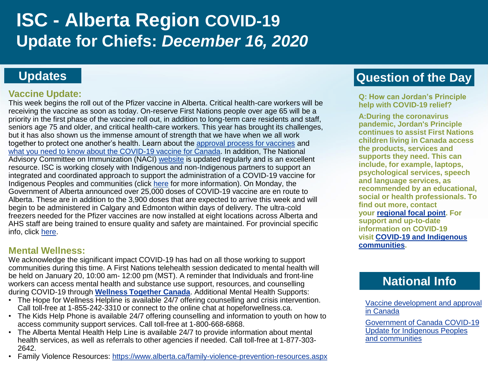# **ISC - Alberta Region COVID-19 Update for Chiefs:** *December 16, 2020*

### **Updates**

#### **Vaccine Update:**

This week begins the roll out of the Pfizer vaccine in Alberta. Critical health-care workers will be receiving the vaccine as soon as today. On-reserve First Nations people over age 65 will be a priority in the first phase of the vaccine roll out, in addition to long-term care residents and staff, seniors age 75 and older, and critical health-care workers. This year has brought its challenges, but it has also shown us the immense amount of strength that we have when we all work together to protect one another's health. Learn about the [approval process for vaccines](https://www.canada.ca/en/health-canada/services/drugs-health-products/covid19-industry/drugs-vaccines-treatments/vaccines/development-approval-infographic.html) and [what you need to know about the COVID-19 vaccine for Canada](https://www.canada.ca/en/public-health/services/diseases/2019-novel-coronavirus-infection/awareness-resources/know-vaccine.html). In addition, The National Advisory Committee on Immunization (NACI) [website](https://www.canada.ca/en/public-health/services/immunization/national-advisory-committee-on-immunization-naci.html) is updated regularly and is an excellent resource. ISC is working closely with Indigenous and non-Indigenous partners to support an integrated and coordinated approach to support the administration of a COVID-19 vaccine for Indigenous Peoples and communities (click [here](https://www.canada.ca/en/indigenous-services-canada/news/2020/12/government-of-canada-covid-19-update-for-indigenous-peoples-and-communities0.html) for more information). On Monday, the Government of Alberta announced over 25,000 doses of COVID-19 vaccine are en route to Alberta. These are in addition to the 3,900 doses that are expected to arrive this week and will begin to be administered in Calgary and Edmonton within days of delivery. The ultra-cold freezers needed for the Pfizer vaccines are now installed at eight locations across Alberta and AHS staff are being trained to ensure quality and safety are maintained. For provincial specific info, click [here.](https://www.albertahealthservices.ca/topics/Page17295.aspx)

#### **Mental Wellness:**

We acknowledge the significant impact COVID-19 has had on all those working to support communities during this time. A First Nations telehealth session dedicated to mental health will be held on January 20, 10:00 am- 12:00 pm (MST). A reminder that Individuals and front-line workers can access mental health and substance use support, resources, and counselling during COVID-19 through **[Wellness Together Canada](https://ca.portal.gs/)**. Additional Mental Health Supports:

- The Hope for Wellness Helpline is available 24/7 offering counselling and crisis intervention. Call toll-free at 1-855-242-3310 or connect to the online chat at hopeforwellness.ca.
- The Kids Help Phone is available 24/7 offering counselling and information to youth on how to access community support services. Call toll-free at 1-800-668-6868.
- The Alberta Mental Health Help Line is available 24/7 to provide information about mental health services, as well as referrals to other agencies if needed. Call toll-free at 1-877-303- 2642.
- Family Violence Resources: <https://www.alberta.ca/family-violence-prevention-resources.aspx>

# **Question of the Day**

**Q: How can Jordan's Principle help with COVID-19 relief?** 

**A:During the coronavirus pandemic, Jordan's Principle continues to assist First Nations children living in Canada access the products, services and supports they need. This can include, for example, laptops, psychological services, speech and language services, as recommended by an educational, social or health professionals. To find out more, contact your [regional focal point.](https://www.sac-isc.gc.ca/eng/1568396296543/1582657596387) For support and up-to-date information on COVID-19 visit [COVID-19 and Indigenous](https://www.sac-isc.gc.ca/eng/1581964230816/1581964277298) communities.** 

## **National Info**

[Vaccine development and approval](https://www.canada.ca/en/health-canada/services/drugs-health-products/covid19-industry/drugs-vaccines-treatments/vaccines/development-approval-infographic.html)  in Canada

Government of Canada COVID-19 [Update for Indigenous Peoples](https://www.canada.ca/en/indigenous-services-canada/news/2020/12/government-of-canada-covid-19-update-for-indigenous-peoples-and-communities0.html)  and communities